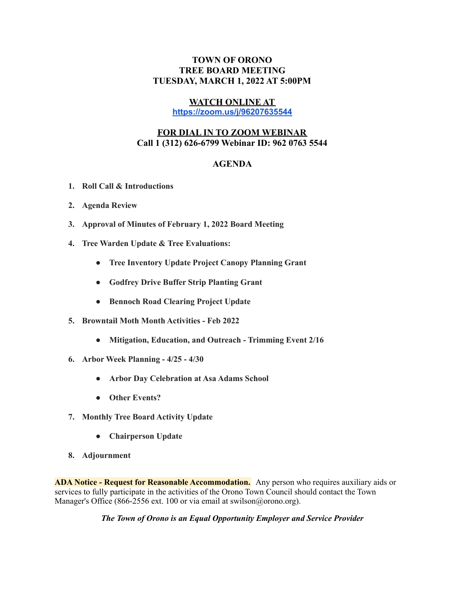## **TOWN OF ORONO TREE BOARD MEETING TUESDAY, MARCH 1, 2022 AT 5:00PM**

## **WATCH ONLINE AT**

**<https://zoom.us/j/96207635544>**

## **FOR DIAL IN TO ZOOM WEBINAR Call 1 (312) 626-6799 Webinar ID: 962 0763 5544**

## **AGENDA**

- **1. Roll Call & Introductions**
- **2. Agenda Review**
- **3. Approval of Minutes of February 1, 2022 Board Meeting**
- **4. Tree Warden Update & Tree Evaluations:**
	- **● Tree Inventory Update Project Canopy Planning Grant**
	- **● Godfrey Drive Buffer Strip Planting Grant**
	- **● Bennoch Road Clearing Project Update**
- **5. Browntail Moth Month Activities - Feb 2022**
	- **● Mitigation, Education, and Outreach - Trimming Event 2/16**
- **6. Arbor Week Planning - 4/25 - 4/30**
	- **● Arbor Day Celebration at Asa Adams School**
	- **● Other Events?**
- **7. Monthly Tree Board Activity Update**
	- **● Chairperson Update**
- **8. Adjournment**

**ADA Notice - Request for Reasonable Accommodation.** Any person who requires auxiliary aids or services to fully participate in the activities of the Orono Town Council should contact the Town Manager's Office (866-2556 ext. 100 or via email at swilson@orono.org).

*The Town of Orono is an Equal Opportunity Employer and Service Provider*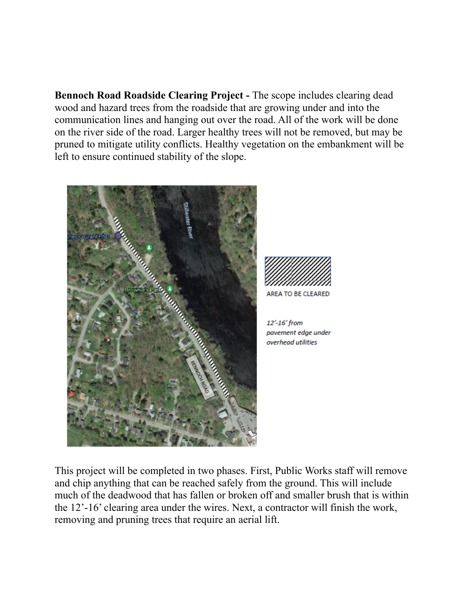**Bennoch Road Roadside Clearing Project -** The scope includes clearing dead wood and hazard trees from the roadside that are growing under and into the communication lines and hanging out over the road. All of the work will be done on the river side of the road. Larger healthy trees will not be removed, but may be pruned to mitigate utility conflicts. Healthy vegetation on the embankment will be left to ensure continued stability of the slope.





AREA TO BE CLEARED

12'-16' from pavement edge under overhead utilities

This project will be completed in two phases. First, Public Works staff will remove and chip anything that can be reached safely from the ground. This will include much of the deadwood that has fallen or broken off and smaller brush that is within the 12'-16' clearing area under the wires. Next, a contractor will finish the work, removing and pruning trees that require an aerial lift.